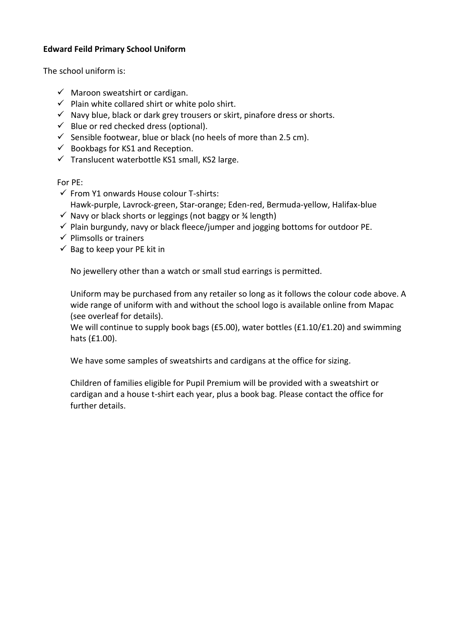### **Edward Feild Primary School Uniform**

The school uniform is:

- $\checkmark$  Maroon sweatshirt or cardigan.
- $\checkmark$  Plain white collared shirt or white polo shirt.
- $\checkmark$  Navy blue, black or dark grey trousers or skirt, pinafore dress or shorts.
- $\checkmark$  Blue or red checked dress (optional).
- $\checkmark$  Sensible footwear, blue or black (no heels of more than 2.5 cm).
- $\checkmark$  Bookbags for KS1 and Reception.
- $\checkmark$  Translucent waterbottle KS1 small, KS2 large.

For PE:

- ✓ From Y1 onwards House colour T-shirts:
- Hawk-purple, Lavrock-green, Star-orange; Eden-red, Bermuda-yellow, Halifax-blue
- $\checkmark$  Navy or black shorts or leggings (not baggy or  $\frac{3}{4}$  length)
- $\checkmark$  Plain burgundy, navy or black fleece/jumper and jogging bottoms for outdoor PE.
- $\checkmark$  Plimsolls or trainers
- $\checkmark$  Bag to keep your PE kit in

No jewellery other than a watch or small stud earrings is permitted.

Uniform may be purchased from any retailer so long as it follows the colour code above. A wide range of uniform with and without the school logo is available online from Mapac (see overleaf for details).

We will continue to supply book bags (£5.00), water bottles (£1.10/£1.20) and swimming hats (£1.00).

We have some samples of sweatshirts and cardigans at the office for sizing.

Children of families eligible for Pupil Premium will be provided with a sweatshirt or cardigan and a house t-shirt each year, plus a book bag. Please contact the office for further details.